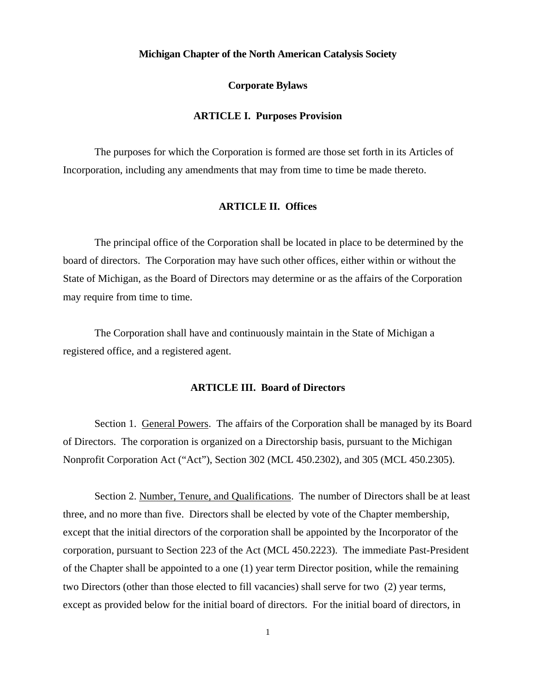## **Michigan Chapter of the North American Catalysis Society**

#### **Corporate Bylaws**

# **ARTICLE I. Purposes Provision**

The purposes for which the Corporation is formed are those set forth in its Articles of Incorporation, including any amendments that may from time to time be made thereto.

# **ARTICLE II. Offices**

The principal office of the Corporation shall be located in place to be determined by the board of directors. The Corporation may have such other offices, either within or without the State of Michigan, as the Board of Directors may determine or as the affairs of the Corporation may require from time to time.

The Corporation shall have and continuously maintain in the State of Michigan a registered office, and a registered agent.

# **ARTICLE III. Board of Directors**

Section 1. General Powers. The affairs of the Corporation shall be managed by its Board of Directors. The corporation is organized on a Directorship basis, pursuant to the Michigan Nonprofit Corporation Act ("Act"), Section 302 (MCL 450.2302), and 305 (MCL 450.2305).

Section 2. Number, Tenure, and Qualifications. The number of Directors shall be at least three, and no more than five. Directors shall be elected by vote of the Chapter membership, except that the initial directors of the corporation shall be appointed by the Incorporator of the corporation, pursuant to Section 223 of the Act (MCL 450.2223). The immediate Past-President of the Chapter shall be appointed to a one (1) year term Director position, while the remaining two Directors (other than those elected to fill vacancies) shall serve for two (2) year terms, except as provided below for the initial board of directors. For the initial board of directors, in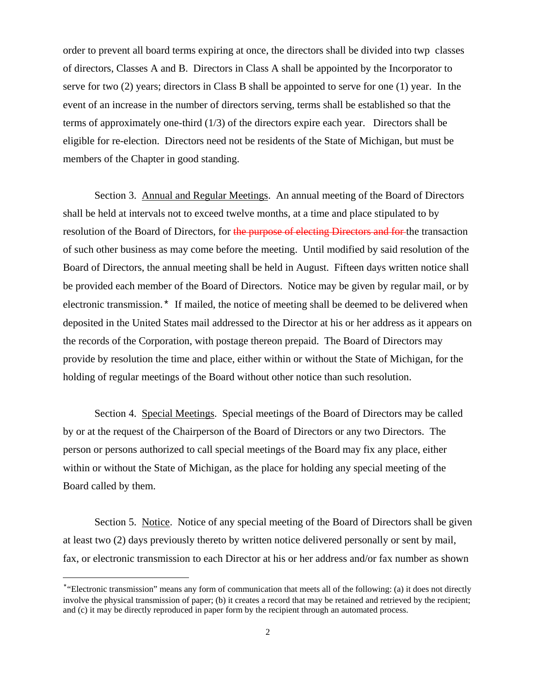order to prevent all board terms expiring at once, the directors shall be divided into twp classes of directors, Classes A and B. Directors in Class A shall be appointed by the Incorporator to serve for two (2) years; directors in Class B shall be appointed to serve for one (1) year. In the event of an increase in the number of directors serving, terms shall be established so that the terms of approximately one-third (1/3) of the directors expire each year. Directors shall be eligible for re-election. Directors need not be residents of the State of Michigan, but must be members of the Chapter in good standing.

Section 3. Annual and Regular Meetings. An annual meeting of the Board of Directors shall be held at intervals not to exceed twelve months, at a time and place stipulated to by resolution of the Board of Directors, for the purpose of electing Directors and for the transaction of such other business as may come before the meeting. Until modified by said resolution of the Board of Directors, the annual meeting shall be held in August. Fifteen days written notice shall be provided each member of the Board of Directors. Notice may be given by regular mail, or by electronic transmission.[\\*](#page-1-0) If mailed, the notice of meeting shall be deemed to be delivered when deposited in the United States mail addressed to the Director at his or her address as it appears on the records of the Corporation, with postage thereon prepaid. The Board of Directors may provide by resolution the time and place, either within or without the State of Michigan, for the holding of regular meetings of the Board without other notice than such resolution.

Section 4. Special Meetings. Special meetings of the Board of Directors may be called by or at the request of the Chairperson of the Board of Directors or any two Directors. The person or persons authorized to call special meetings of the Board may fix any place, either within or without the State of Michigan, as the place for holding any special meeting of the Board called by them.

Section 5. Notice. Notice of any special meeting of the Board of Directors shall be given at least two (2) days previously thereto by written notice delivered personally or sent by mail, fax, or electronic transmission to each Director at his or her address and/or fax number as shown

ī

<span id="page-1-0"></span><sup>\*</sup>"Electronic transmission" means any form of communication that meets all of the following: (a) it does not directly involve the physical transmission of paper; (b) it creates a record that may be retained and retrieved by the recipient; and (c) it may be directly reproduced in paper form by the recipient through an automated process.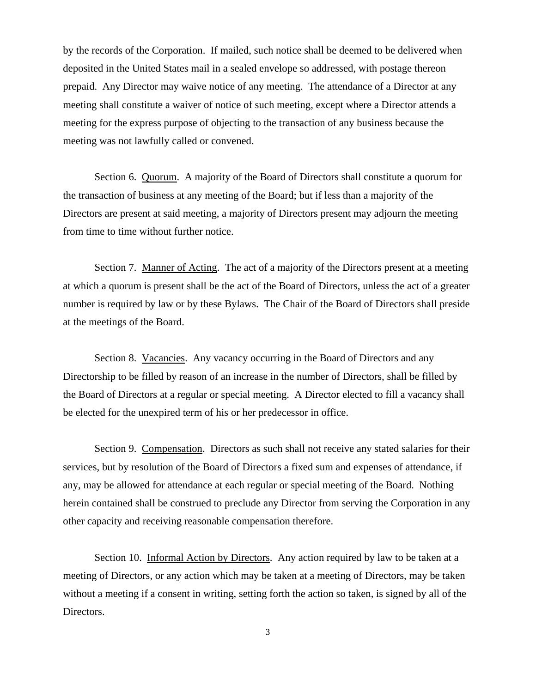by the records of the Corporation. If mailed, such notice shall be deemed to be delivered when deposited in the United States mail in a sealed envelope so addressed, with postage thereon prepaid. Any Director may waive notice of any meeting. The attendance of a Director at any meeting shall constitute a waiver of notice of such meeting, except where a Director attends a meeting for the express purpose of objecting to the transaction of any business because the meeting was not lawfully called or convened.

Section 6. Quorum. A majority of the Board of Directors shall constitute a quorum for the transaction of business at any meeting of the Board; but if less than a majority of the Directors are present at said meeting, a majority of Directors present may adjourn the meeting from time to time without further notice.

Section 7. Manner of Acting. The act of a majority of the Directors present at a meeting at which a quorum is present shall be the act of the Board of Directors, unless the act of a greater number is required by law or by these Bylaws. The Chair of the Board of Directors shall preside at the meetings of the Board.

Section 8. Vacancies. Any vacancy occurring in the Board of Directors and any Directorship to be filled by reason of an increase in the number of Directors, shall be filled by the Board of Directors at a regular or special meeting. A Director elected to fill a vacancy shall be elected for the unexpired term of his or her predecessor in office.

Section 9. Compensation. Directors as such shall not receive any stated salaries for their services, but by resolution of the Board of Directors a fixed sum and expenses of attendance, if any, may be allowed for attendance at each regular or special meeting of the Board. Nothing herein contained shall be construed to preclude any Director from serving the Corporation in any other capacity and receiving reasonable compensation therefore.

Section 10. Informal Action by Directors. Any action required by law to be taken at a meeting of Directors, or any action which may be taken at a meeting of Directors, may be taken without a meeting if a consent in writing, setting forth the action so taken, is signed by all of the Directors.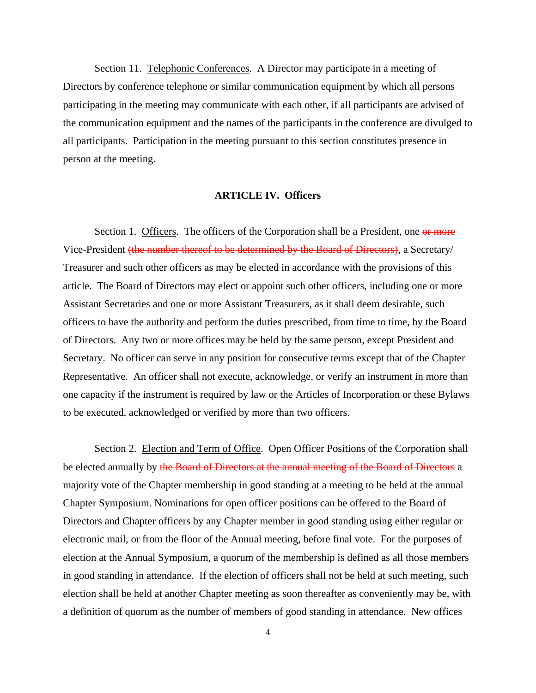Section 11. Telephonic Conferences. A Director may participate in a meeting of Directors by conference telephone or similar communication equipment by which all persons participating in the meeting may communicate with each other, if all participants are advised of the communication equipment and the names of the participants in the conference are divulged to all participants. Participation in the meeting pursuant to this section constitutes presence in person at the meeting.

#### **ARTICLE IV. Officers**

Section 1. Officers. The officers of the Corporation shall be a President, one or more Vice-President (the number thereof to be determined by the Board of Directors), a Secretary/ Treasurer and such other officers as may be elected in accordance with the provisions of this article. The Board of Directors may elect or appoint such other officers, including one or more Assistant Secretaries and one or more Assistant Treasurers, as it shall deem desirable, such officers to have the authority and perform the duties prescribed, from time to time, by the Board of Directors. Any two or more offices may be held by the same person, except President and Secretary. No officer can serve in any position for consecutive terms except that of the Chapter Representative. An officer shall not execute, acknowledge, or verify an instrument in more than one capacity if the instrument is required by law or the Articles of Incorporation or these Bylaws to be executed, acknowledged or verified by more than two officers.

Section 2. Election and Term of Office. Open Officer Positions of the Corporation shall be elected annually by the Board of Directors at the annual meeting of the Board of Directors a majority vote of the Chapter membership in good standing at a meeting to be held at the annual Chapter Symposium. Nominations for open officer positions can be offered to the Board of Directors and Chapter officers by any Chapter member in good standing using either regular or electronic mail, or from the floor of the Annual meeting, before final vote. For the purposes of election at the Annual Symposium, a quorum of the membership is defined as all those members in good standing in attendance. If the election of officers shall not be held at such meeting, such election shall be held at another Chapter meeting as soon thereafter as conveniently may be, with a definition of quorum as the number of members of good standing in attendance. New offices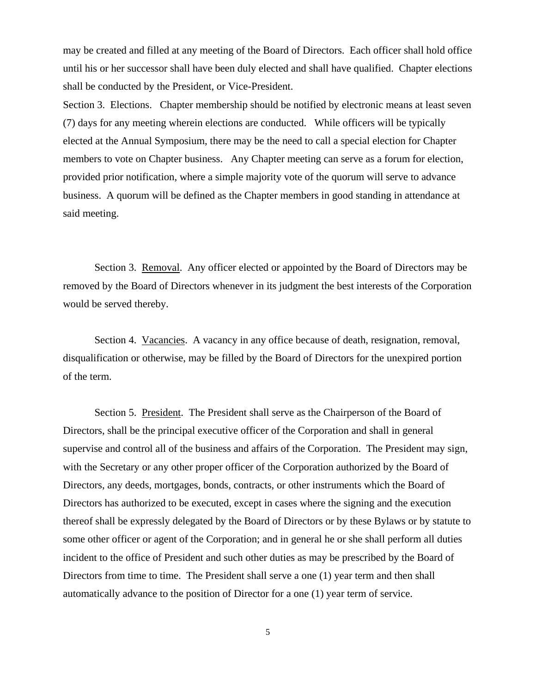may be created and filled at any meeting of the Board of Directors. Each officer shall hold office until his or her successor shall have been duly elected and shall have qualified. Chapter elections shall be conducted by the President, or Vice-President.

Section 3. Elections. Chapter membership should be notified by electronic means at least seven (7) days for any meeting wherein elections are conducted. While officers will be typically elected at the Annual Symposium, there may be the need to call a special election for Chapter members to vote on Chapter business. Any Chapter meeting can serve as a forum for election, provided prior notification, where a simple majority vote of the quorum will serve to advance business. A quorum will be defined as the Chapter members in good standing in attendance at said meeting.

Section 3. Removal. Any officer elected or appointed by the Board of Directors may be removed by the Board of Directors whenever in its judgment the best interests of the Corporation would be served thereby.

Section 4. Vacancies. A vacancy in any office because of death, resignation, removal, disqualification or otherwise, may be filled by the Board of Directors for the unexpired portion of the term.

Section 5. President. The President shall serve as the Chairperson of the Board of Directors, shall be the principal executive officer of the Corporation and shall in general supervise and control all of the business and affairs of the Corporation. The President may sign, with the Secretary or any other proper officer of the Corporation authorized by the Board of Directors, any deeds, mortgages, bonds, contracts, or other instruments which the Board of Directors has authorized to be executed, except in cases where the signing and the execution thereof shall be expressly delegated by the Board of Directors or by these Bylaws or by statute to some other officer or agent of the Corporation; and in general he or she shall perform all duties incident to the office of President and such other duties as may be prescribed by the Board of Directors from time to time. The President shall serve a one (1) year term and then shall automatically advance to the position of Director for a one (1) year term of service.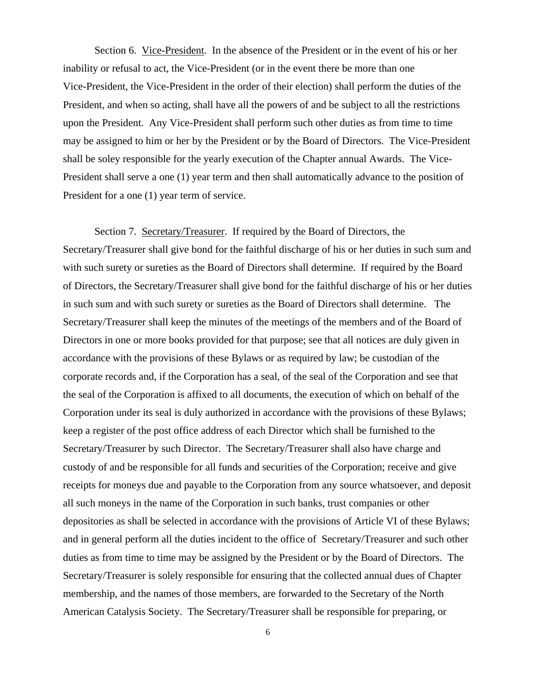Section 6. Vice-President. In the absence of the President or in the event of his or her inability or refusal to act, the Vice-President (or in the event there be more than one Vice-President, the Vice-President in the order of their election) shall perform the duties of the President, and when so acting, shall have all the powers of and be subject to all the restrictions upon the President. Any Vice-President shall perform such other duties as from time to time may be assigned to him or her by the President or by the Board of Directors. The Vice-President shall be soley responsible for the yearly execution of the Chapter annual Awards. The Vice-President shall serve a one (1) year term and then shall automatically advance to the position of President for a one (1) year term of service.

Section 7. Secretary/Treasurer. If required by the Board of Directors, the Secretary/Treasurer shall give bond for the faithful discharge of his or her duties in such sum and with such surety or sureties as the Board of Directors shall determine. If required by the Board of Directors, the Secretary/Treasurer shall give bond for the faithful discharge of his or her duties in such sum and with such surety or sureties as the Board of Directors shall determine. The Secretary/Treasurer shall keep the minutes of the meetings of the members and of the Board of Directors in one or more books provided for that purpose; see that all notices are duly given in accordance with the provisions of these Bylaws or as required by law; be custodian of the corporate records and, if the Corporation has a seal, of the seal of the Corporation and see that the seal of the Corporation is affixed to all documents, the execution of which on behalf of the Corporation under its seal is duly authorized in accordance with the provisions of these Bylaws; keep a register of the post office address of each Director which shall be furnished to the Secretary/Treasurer by such Director. The Secretary/Treasurer shall also have charge and custody of and be responsible for all funds and securities of the Corporation; receive and give receipts for moneys due and payable to the Corporation from any source whatsoever, and deposit all such moneys in the name of the Corporation in such banks, trust companies or other depositories as shall be selected in accordance with the provisions of Article VI of these Bylaws; and in general perform all the duties incident to the office of Secretary/Treasurer and such other duties as from time to time may be assigned by the President or by the Board of Directors. The Secretary/Treasurer is solely responsible for ensuring that the collected annual dues of Chapter membership, and the names of those members, are forwarded to the Secretary of the North American Catalysis Society. The Secretary/Treasurer shall be responsible for preparing, or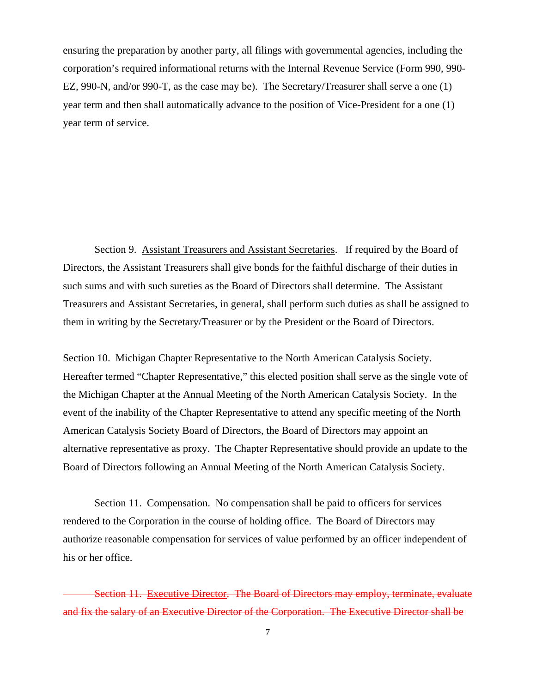ensuring the preparation by another party, all filings with governmental agencies, including the corporation's required informational returns with the Internal Revenue Service (Form 990, 990- EZ, 990-N, and/or 990-T, as the case may be). The Secretary/Treasurer shall serve a one (1) year term and then shall automatically advance to the position of Vice-President for a one (1) year term of service.

Section 9. Assistant Treasurers and Assistant Secretaries. If required by the Board of Directors, the Assistant Treasurers shall give bonds for the faithful discharge of their duties in such sums and with such sureties as the Board of Directors shall determine. The Assistant Treasurers and Assistant Secretaries, in general, shall perform such duties as shall be assigned to them in writing by the Secretary/Treasurer or by the President or the Board of Directors.

Section 10. Michigan Chapter Representative to the North American Catalysis Society. Hereafter termed "Chapter Representative," this elected position shall serve as the single vote of the Michigan Chapter at the Annual Meeting of the North American Catalysis Society. In the event of the inability of the Chapter Representative to attend any specific meeting of the North American Catalysis Society Board of Directors, the Board of Directors may appoint an alternative representative as proxy. The Chapter Representative should provide an update to the Board of Directors following an Annual Meeting of the North American Catalysis Society.

Section 11. Compensation. No compensation shall be paid to officers for services rendered to the Corporation in the course of holding office. The Board of Directors may authorize reasonable compensation for services of value performed by an officer independent of his or her office.

Section 11. Executive Director. The Board of Directors may employ, terminate, evaluate and fix the salary of an Executive Director of the Corporation. The Executive Director shall be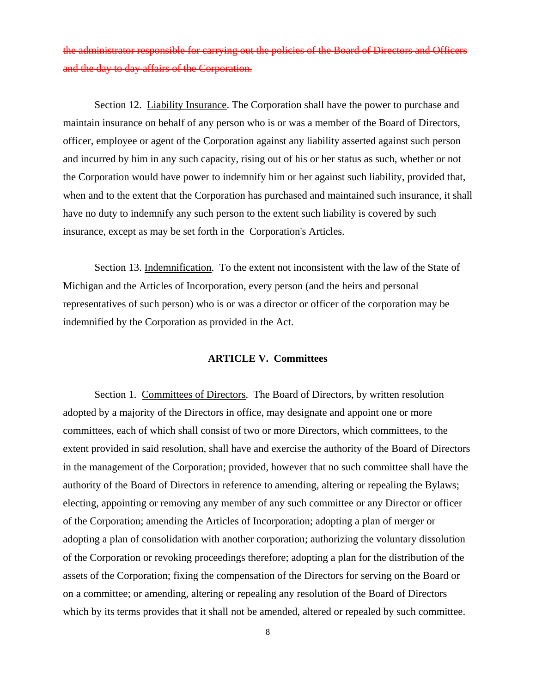the administrator responsible for carrying out the policies of the Board of Directors and Officers and the day to day affairs of the Corporation.

Section 12. Liability Insurance. The Corporation shall have the power to purchase and maintain insurance on behalf of any person who is or was a member of the Board of Directors, officer, employee or agent of the Corporation against any liability asserted against such person and incurred by him in any such capacity, rising out of his or her status as such, whether or not the Corporation would have power to indemnify him or her against such liability, provided that, when and to the extent that the Corporation has purchased and maintained such insurance, it shall have no duty to indemnify any such person to the extent such liability is covered by such insurance, except as may be set forth in the Corporation's Articles.

Section 13. Indemnification. To the extent not inconsistent with the law of the State of Michigan and the Articles of Incorporation, every person (and the heirs and personal representatives of such person) who is or was a director or officer of the corporation may be indemnified by the Corporation as provided in the Act.

# **ARTICLE V. Committees**

Section 1. Committees of Directors. The Board of Directors, by written resolution adopted by a majority of the Directors in office, may designate and appoint one or more committees, each of which shall consist of two or more Directors, which committees, to the extent provided in said resolution, shall have and exercise the authority of the Board of Directors in the management of the Corporation; provided, however that no such committee shall have the authority of the Board of Directors in reference to amending, altering or repealing the Bylaws; electing, appointing or removing any member of any such committee or any Director or officer of the Corporation; amending the Articles of Incorporation; adopting a plan of merger or adopting a plan of consolidation with another corporation; authorizing the voluntary dissolution of the Corporation or revoking proceedings therefore; adopting a plan for the distribution of the assets of the Corporation; fixing the compensation of the Directors for serving on the Board or on a committee; or amending, altering or repealing any resolution of the Board of Directors which by its terms provides that it shall not be amended, altered or repealed by such committee.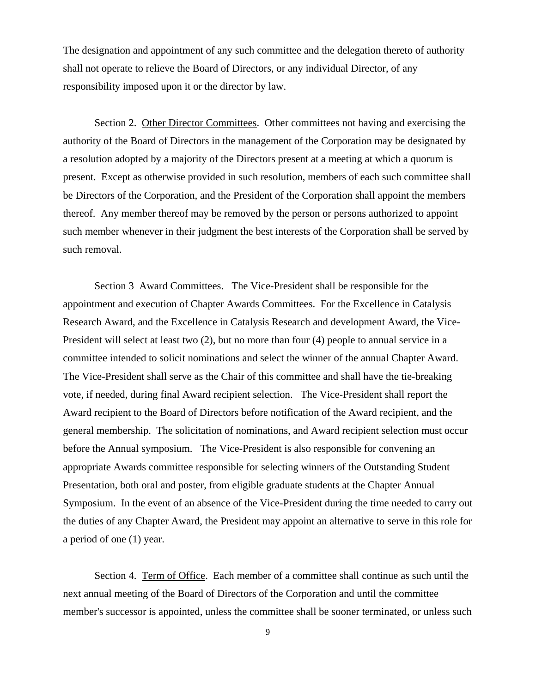The designation and appointment of any such committee and the delegation thereto of authority shall not operate to relieve the Board of Directors, or any individual Director, of any responsibility imposed upon it or the director by law.

Section 2. Other Director Committees. Other committees not having and exercising the authority of the Board of Directors in the management of the Corporation may be designated by a resolution adopted by a majority of the Directors present at a meeting at which a quorum is present. Except as otherwise provided in such resolution, members of each such committee shall be Directors of the Corporation, and the President of the Corporation shall appoint the members thereof. Any member thereof may be removed by the person or persons authorized to appoint such member whenever in their judgment the best interests of the Corporation shall be served by such removal.

Section 3 Award Committees. The Vice-President shall be responsible for the appointment and execution of Chapter Awards Committees. For the Excellence in Catalysis Research Award, and the Excellence in Catalysis Research and development Award, the Vice-President will select at least two (2), but no more than four (4) people to annual service in a committee intended to solicit nominations and select the winner of the annual Chapter Award. The Vice-President shall serve as the Chair of this committee and shall have the tie-breaking vote, if needed, during final Award recipient selection. The Vice-President shall report the Award recipient to the Board of Directors before notification of the Award recipient, and the general membership. The solicitation of nominations, and Award recipient selection must occur before the Annual symposium. The Vice-President is also responsible for convening an appropriate Awards committee responsible for selecting winners of the Outstanding Student Presentation, both oral and poster, from eligible graduate students at the Chapter Annual Symposium. In the event of an absence of the Vice-President during the time needed to carry out the duties of any Chapter Award, the President may appoint an alternative to serve in this role for a period of one (1) year.

Section 4. Term of Office. Each member of a committee shall continue as such until the next annual meeting of the Board of Directors of the Corporation and until the committee member's successor is appointed, unless the committee shall be sooner terminated, or unless such

9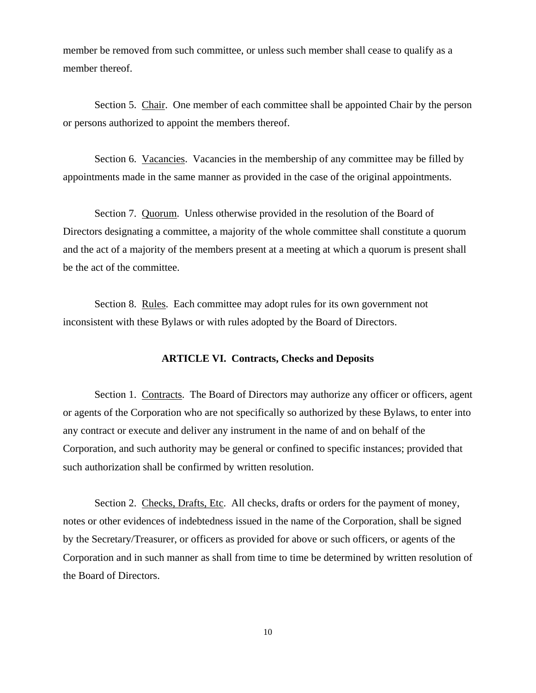member be removed from such committee, or unless such member shall cease to qualify as a member thereof.

Section 5. Chair. One member of each committee shall be appointed Chair by the person or persons authorized to appoint the members thereof.

Section 6. Vacancies. Vacancies in the membership of any committee may be filled by appointments made in the same manner as provided in the case of the original appointments.

Section 7. Quorum. Unless otherwise provided in the resolution of the Board of Directors designating a committee, a majority of the whole committee shall constitute a quorum and the act of a majority of the members present at a meeting at which a quorum is present shall be the act of the committee.

Section 8. Rules. Each committee may adopt rules for its own government not inconsistent with these Bylaws or with rules adopted by the Board of Directors.

# **ARTICLE VI. Contracts, Checks and Deposits**

Section 1. Contracts. The Board of Directors may authorize any officer or officers, agent or agents of the Corporation who are not specifically so authorized by these Bylaws, to enter into any contract or execute and deliver any instrument in the name of and on behalf of the Corporation, and such authority may be general or confined to specific instances; provided that such authorization shall be confirmed by written resolution.

Section 2. Checks, Drafts, Etc. All checks, drafts or orders for the payment of money, notes or other evidences of indebtedness issued in the name of the Corporation, shall be signed by the Secretary/Treasurer, or officers as provided for above or such officers, or agents of the Corporation and in such manner as shall from time to time be determined by written resolution of the Board of Directors.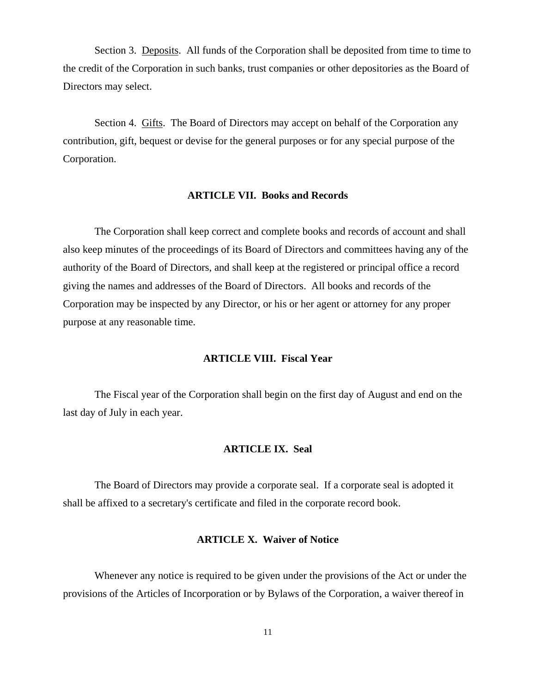Section 3. Deposits. All funds of the Corporation shall be deposited from time to time to the credit of the Corporation in such banks, trust companies or other depositories as the Board of Directors may select.

Section 4. Gifts. The Board of Directors may accept on behalf of the Corporation any contribution, gift, bequest or devise for the general purposes or for any special purpose of the Corporation.

### **ARTICLE VII. Books and Records**

The Corporation shall keep correct and complete books and records of account and shall also keep minutes of the proceedings of its Board of Directors and committees having any of the authority of the Board of Directors, and shall keep at the registered or principal office a record giving the names and addresses of the Board of Directors. All books and records of the Corporation may be inspected by any Director, or his or her agent or attorney for any proper purpose at any reasonable time.

# **ARTICLE VIII. Fiscal Year**

The Fiscal year of the Corporation shall begin on the first day of August and end on the last day of July in each year.

#### **ARTICLE IX. Seal**

The Board of Directors may provide a corporate seal. If a corporate seal is adopted it shall be affixed to a secretary's certificate and filed in the corporate record book.

# **ARTICLE X. Waiver of Notice**

Whenever any notice is required to be given under the provisions of the Act or under the provisions of the Articles of Incorporation or by Bylaws of the Corporation, a waiver thereof in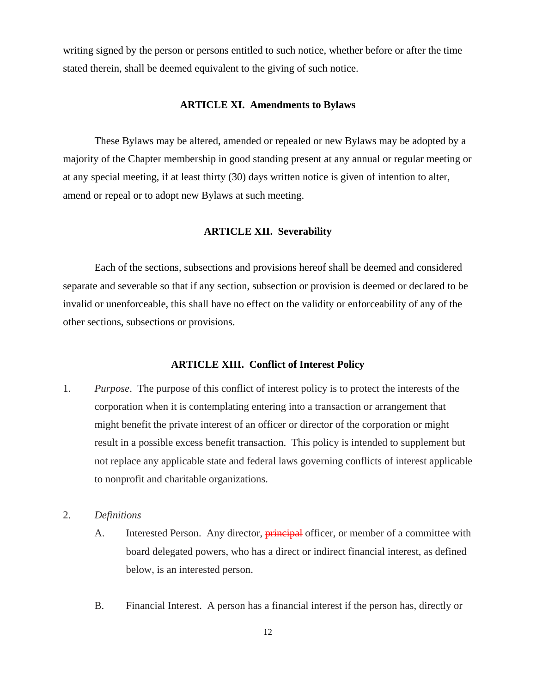writing signed by the person or persons entitled to such notice, whether before or after the time stated therein, shall be deemed equivalent to the giving of such notice.

### **ARTICLE XI. Amendments to Bylaws**

These Bylaws may be altered, amended or repealed or new Bylaws may be adopted by a majority of the Chapter membership in good standing present at any annual or regular meeting or at any special meeting, if at least thirty (30) days written notice is given of intention to alter, amend or repeal or to adopt new Bylaws at such meeting.

# **ARTICLE XII. Severability**

Each of the sections, subsections and provisions hereof shall be deemed and considered separate and severable so that if any section, subsection or provision is deemed or declared to be invalid or unenforceable, this shall have no effect on the validity or enforceability of any of the other sections, subsections or provisions.

## **ARTICLE XIII. Conflict of Interest Policy**

- 1. *Purpose*.The purpose of this conflict of interest policy is to protect the interests of the corporation when it is contemplating entering into a transaction or arrangement that might benefit the private interest of an officer or director of the corporation or might result in a possible excess benefit transaction. This policy is intended to supplement but not replace any applicable state and federal laws governing conflicts of interest applicable to nonprofit and charitable organizations.
- 2. *Definitions*
	- A. Interested Person. Any director, **principal** officer, or member of a committee with board delegated powers, who has a direct or indirect financial interest, as defined below, is an interested person.
	- B. Financial Interest. A person has a financial interest if the person has, directly or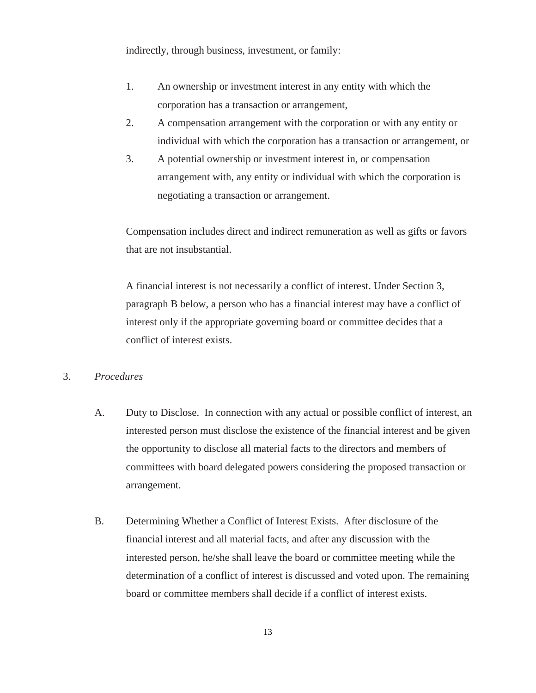indirectly, through business, investment, or family:

- 1. An ownership or investment interest in any entity with which the corporation has a transaction or arrangement,
- 2. A compensation arrangement with the corporation or with any entity or individual with which the corporation has a transaction or arrangement, or
- 3. A potential ownership or investment interest in, or compensation arrangement with, any entity or individual with which the corporation is negotiating a transaction or arrangement.

Compensation includes direct and indirect remuneration as well as gifts or favors that are not insubstantial.

A financial interest is not necessarily a conflict of interest. Under Section 3, paragraph B below, a person who has a financial interest may have a conflict of interest only if the appropriate governing board or committee decides that a conflict of interest exists.

# 3. *Procedures*

- A. Duty to Disclose. In connection with any actual or possible conflict of interest, an interested person must disclose the existence of the financial interest and be given the opportunity to disclose all material facts to the directors and members of committees with board delegated powers considering the proposed transaction or arrangement.
- B. Determining Whether a Conflict of Interest Exists. After disclosure of the financial interest and all material facts, and after any discussion with the interested person, he/she shall leave the board or committee meeting while the determination of a conflict of interest is discussed and voted upon. The remaining board or committee members shall decide if a conflict of interest exists.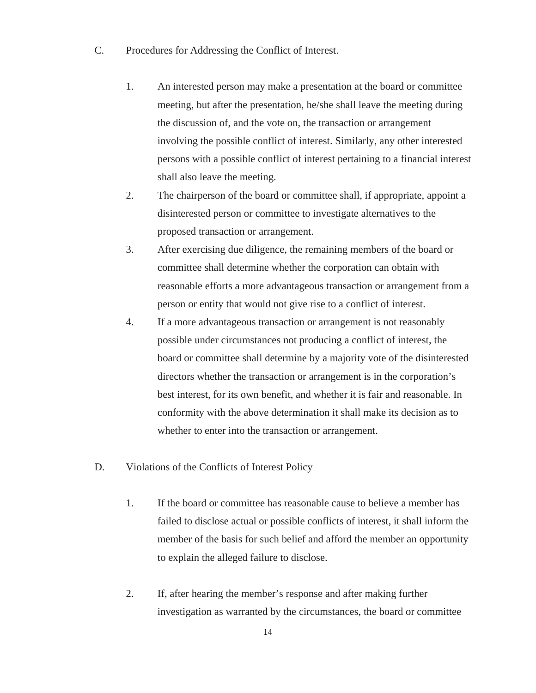- C. Procedures for Addressing the Conflict of Interest.
	- 1. An interested person may make a presentation at the board or committee meeting, but after the presentation, he/she shall leave the meeting during the discussion of, and the vote on, the transaction or arrangement involving the possible conflict of interest. Similarly, any other interested persons with a possible conflict of interest pertaining to a financial interest shall also leave the meeting.
	- 2. The chairperson of the board or committee shall, if appropriate, appoint a disinterested person or committee to investigate alternatives to the proposed transaction or arrangement.
	- 3. After exercising due diligence, the remaining members of the board or committee shall determine whether the corporation can obtain with reasonable efforts a more advantageous transaction or arrangement from a person or entity that would not give rise to a conflict of interest.
	- 4. If a more advantageous transaction or arrangement is not reasonably possible under circumstances not producing a conflict of interest, the board or committee shall determine by a majority vote of the disinterested directors whether the transaction or arrangement is in the corporation's best interest, for its own benefit, and whether it is fair and reasonable. In conformity with the above determination it shall make its decision as to whether to enter into the transaction or arrangement.
- D. Violations of the Conflicts of Interest Policy
	- 1. If the board or committee has reasonable cause to believe a member has failed to disclose actual or possible conflicts of interest, it shall inform the member of the basis for such belief and afford the member an opportunity to explain the alleged failure to disclose.
	- 2. If, after hearing the member's response and after making further investigation as warranted by the circumstances, the board or committee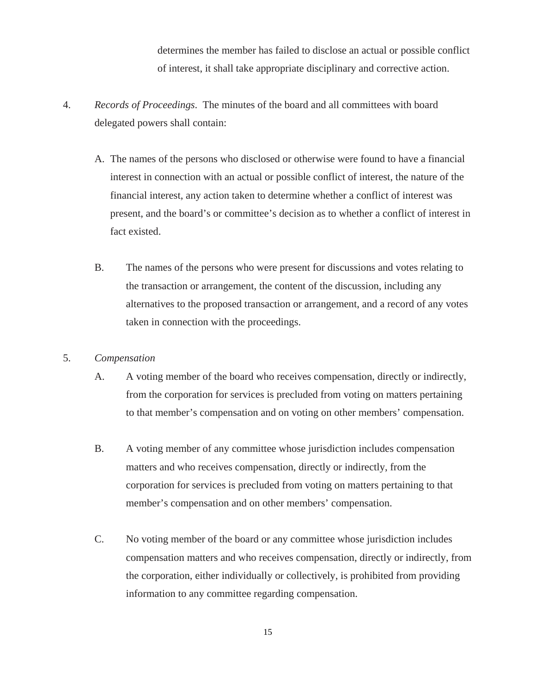determines the member has failed to disclose an actual or possible conflict of interest, it shall take appropriate disciplinary and corrective action.

- 4. *Records of Proceedings*.The minutes of the board and all committees with board delegated powers shall contain:
	- A. The names of the persons who disclosed or otherwise were found to have a financial interest in connection with an actual or possible conflict of interest, the nature of the financial interest, any action taken to determine whether a conflict of interest was present, and the board's or committee's decision as to whether a conflict of interest in fact existed.
	- B. The names of the persons who were present for discussions and votes relating to the transaction or arrangement, the content of the discussion, including any alternatives to the proposed transaction or arrangement, and a record of any votes taken in connection with the proceedings.

# 5. *Compensation*

- A. A voting member of the board who receives compensation, directly or indirectly, from the corporation for services is precluded from voting on matters pertaining to that member's compensation and on voting on other members' compensation.
- B. A voting member of any committee whose jurisdiction includes compensation matters and who receives compensation, directly or indirectly, from the corporation for services is precluded from voting on matters pertaining to that member's compensation and on other members' compensation.
- C. No voting member of the board or any committee whose jurisdiction includes compensation matters and who receives compensation, directly or indirectly, from the corporation, either individually or collectively, is prohibited from providing information to any committee regarding compensation.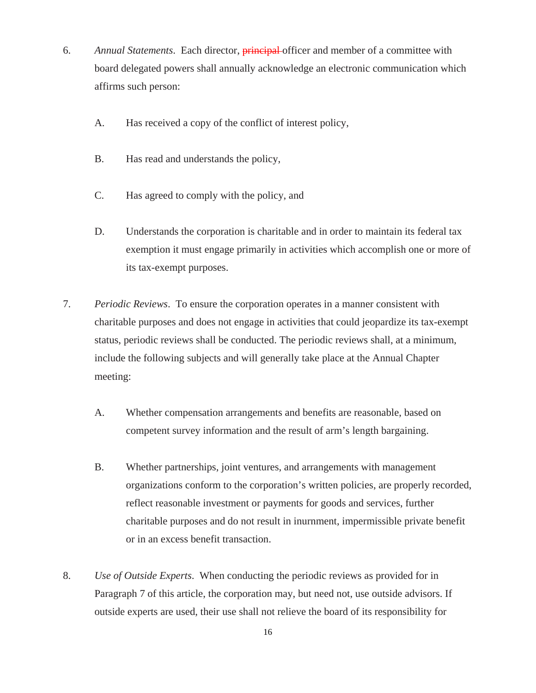- 6. *Annual Statements*.Each director, principal officer and member of a committee with board delegated powers shall annually acknowledge an electronic communication which affirms such person:
	- A. Has received a copy of the conflict of interest policy,
	- B. Has read and understands the policy,
	- C. Has agreed to comply with the policy, and
	- D. Understands the corporation is charitable and in order to maintain its federal tax exemption it must engage primarily in activities which accomplish one or more of its tax-exempt purposes.
- 7. *Periodic Reviews*.To ensure the corporation operates in a manner consistent with charitable purposes and does not engage in activities that could jeopardize its tax-exempt status, periodic reviews shall be conducted. The periodic reviews shall, at a minimum, include the following subjects and will generally take place at the Annual Chapter meeting:
	- A. Whether compensation arrangements and benefits are reasonable, based on competent survey information and the result of arm's length bargaining.
	- B. Whether partnerships, joint ventures, and arrangements with management organizations conform to the corporation's written policies, are properly recorded, reflect reasonable investment or payments for goods and services, further charitable purposes and do not result in inurnment, impermissible private benefit or in an excess benefit transaction.
- 8. *Use of Outside Experts*.When conducting the periodic reviews as provided for in Paragraph 7 of this article, the corporation may, but need not, use outside advisors. If outside experts are used, their use shall not relieve the board of its responsibility for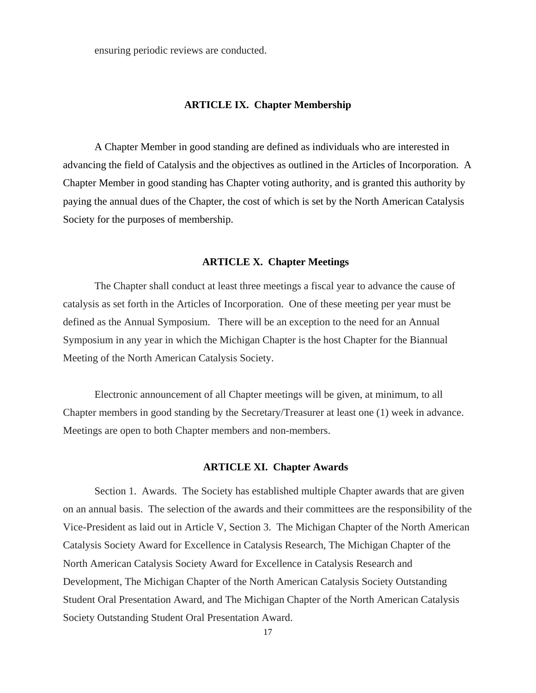ensuring periodic reviews are conducted.

## **ARTICLE IX. Chapter Membership**

A Chapter Member in good standing are defined as individuals who are interested in advancing the field of Catalysis and the objectives as outlined in the Articles of Incorporation. A Chapter Member in good standing has Chapter voting authority, and is granted this authority by paying the annual dues of the Chapter, the cost of which is set by the North American Catalysis Society for the purposes of membership.

## **ARTICLE X. Chapter Meetings**

The Chapter shall conduct at least three meetings a fiscal year to advance the cause of catalysis as set forth in the Articles of Incorporation. One of these meeting per year must be defined as the Annual Symposium. There will be an exception to the need for an Annual Symposium in any year in which the Michigan Chapter is the host Chapter for the Biannual Meeting of the North American Catalysis Society.

Electronic announcement of all Chapter meetings will be given, at minimum, to all Chapter members in good standing by the Secretary/Treasurer at least one (1) week in advance. Meetings are open to both Chapter members and non-members.

### **ARTICLE XI. Chapter Awards**

Section 1. Awards. The Society has established multiple Chapter awards that are given on an annual basis. The selection of the awards and their committees are the responsibility of the Vice-President as laid out in Article V, Section 3. The Michigan Chapter of the North American Catalysis Society Award for Excellence in Catalysis Research, The Michigan Chapter of the North American Catalysis Society Award for Excellence in Catalysis Research and Development, The Michigan Chapter of the North American Catalysis Society Outstanding Student Oral Presentation Award, and The Michigan Chapter of the North American Catalysis Society Outstanding Student Oral Presentation Award.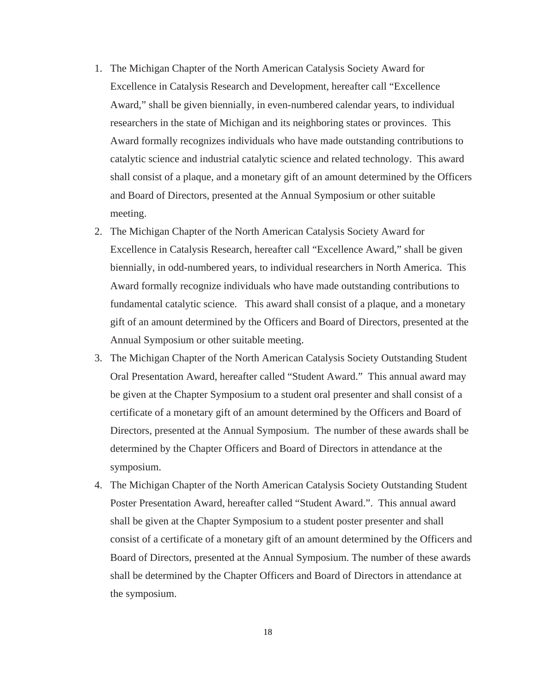- 1. The Michigan Chapter of the North American Catalysis Society Award for Excellence in Catalysis Research and Development, hereafter call "Excellence Award," shall be given biennially, in even-numbered calendar years, to individual researchers in the state of Michigan and its neighboring states or provinces. This Award formally recognizes individuals who have made outstanding contributions to catalytic science and industrial catalytic science and related technology. This award shall consist of a plaque, and a monetary gift of an amount determined by the Officers and Board of Directors, presented at the Annual Symposium or other suitable meeting.
- 2. The Michigan Chapter of the North American Catalysis Society Award for Excellence in Catalysis Research, hereafter call "Excellence Award," shall be given biennially, in odd-numbered years, to individual researchers in North America. This Award formally recognize individuals who have made outstanding contributions to fundamental catalytic science. This award shall consist of a plaque, and a monetary gift of an amount determined by the Officers and Board of Directors, presented at the Annual Symposium or other suitable meeting.
- 3. The Michigan Chapter of the North American Catalysis Society Outstanding Student Oral Presentation Award, hereafter called "Student Award." This annual award may be given at the Chapter Symposium to a student oral presenter and shall consist of a certificate of a monetary gift of an amount determined by the Officers and Board of Directors, presented at the Annual Symposium. The number of these awards shall be determined by the Chapter Officers and Board of Directors in attendance at the symposium.
- 4. The Michigan Chapter of the North American Catalysis Society Outstanding Student Poster Presentation Award, hereafter called "Student Award.". This annual award shall be given at the Chapter Symposium to a student poster presenter and shall consist of a certificate of a monetary gift of an amount determined by the Officers and Board of Directors, presented at the Annual Symposium. The number of these awards shall be determined by the Chapter Officers and Board of Directors in attendance at the symposium.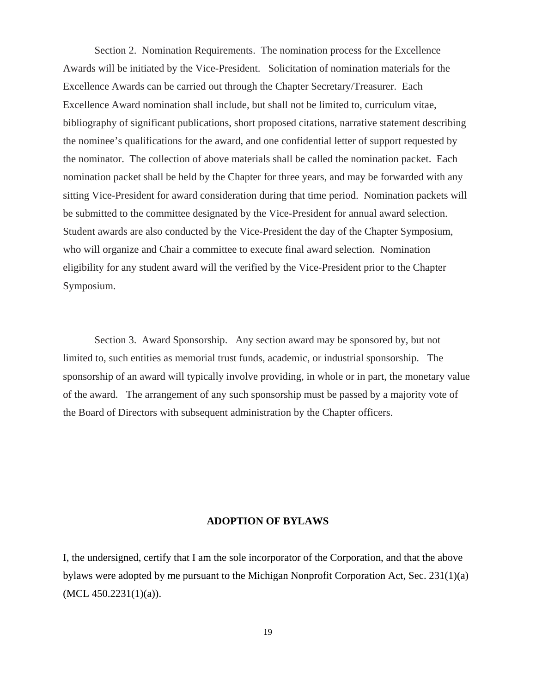Section 2. Nomination Requirements. The nomination process for the Excellence Awards will be initiated by the Vice-President. Solicitation of nomination materials for the Excellence Awards can be carried out through the Chapter Secretary/Treasurer. Each Excellence Award nomination shall include, but shall not be limited to, curriculum vitae, bibliography of significant publications, short proposed citations, narrative statement describing the nominee's qualifications for the award, and one confidential letter of support requested by the nominator. The collection of above materials shall be called the nomination packet. Each nomination packet shall be held by the Chapter for three years, and may be forwarded with any sitting Vice-President for award consideration during that time period. Nomination packets will be submitted to the committee designated by the Vice-President for annual award selection. Student awards are also conducted by the Vice-President the day of the Chapter Symposium, who will organize and Chair a committee to execute final award selection. Nomination eligibility for any student award will the verified by the Vice-President prior to the Chapter Symposium.

Section 3. Award Sponsorship. Any section award may be sponsored by, but not limited to, such entities as memorial trust funds, academic, or industrial sponsorship. The sponsorship of an award will typically involve providing, in whole or in part, the monetary value of the award. The arrangement of any such sponsorship must be passed by a majority vote of the Board of Directors with subsequent administration by the Chapter officers.

# **ADOPTION OF BYLAWS**

I, the undersigned, certify that I am the sole incorporator of the Corporation, and that the above bylaws were adopted by me pursuant to the Michigan Nonprofit Corporation Act, Sec. 231(1)(a)  $(MCL 450.2231(1)(a)).$